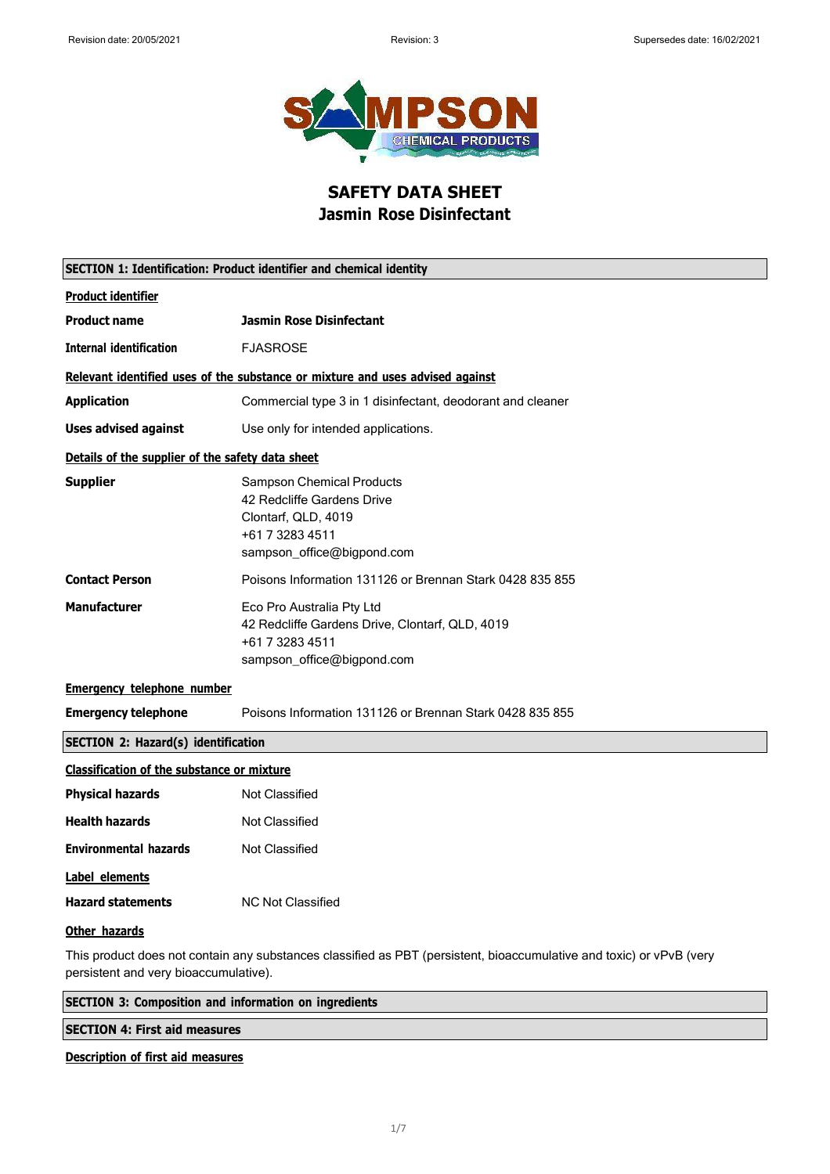

## **SAFETY DATA SHEET Jasmin Rose Disinfectant**

| SECTION 1: Identification: Product identifier and chemical identity                                                                                           |                                                                                                                                 |  |
|---------------------------------------------------------------------------------------------------------------------------------------------------------------|---------------------------------------------------------------------------------------------------------------------------------|--|
| <b>Product identifier</b>                                                                                                                                     |                                                                                                                                 |  |
| <b>Product name</b>                                                                                                                                           | Jasmin Rose Disinfectant                                                                                                        |  |
| <b>Internal identification</b>                                                                                                                                | <b>FJASROSE</b>                                                                                                                 |  |
|                                                                                                                                                               | Relevant identified uses of the substance or mixture and uses advised against                                                   |  |
| <b>Application</b>                                                                                                                                            | Commercial type 3 in 1 disinfectant, deodorant and cleaner                                                                      |  |
| <b>Uses advised against</b>                                                                                                                                   | Use only for intended applications.                                                                                             |  |
| Details of the supplier of the safety data sheet                                                                                                              |                                                                                                                                 |  |
| <b>Supplier</b>                                                                                                                                               | Sampson Chemical Products<br>42 Redcliffe Gardens Drive<br>Clontarf, QLD, 4019<br>+61 7 3283 4511<br>sampson_office@bigpond.com |  |
| <b>Contact Person</b>                                                                                                                                         | Poisons Information 131126 or Brennan Stark 0428 835 855                                                                        |  |
| <b>Manufacturer</b>                                                                                                                                           | Eco Pro Australia Pty Ltd<br>42 Redcliffe Gardens Drive, Clontarf, QLD, 4019<br>+61 7 3283 4511<br>sampson_office@bigpond.com   |  |
| <b>Emergency telephone number</b>                                                                                                                             |                                                                                                                                 |  |
| <b>Emergency telephone</b>                                                                                                                                    | Poisons Information 131126 or Brennan Stark 0428 835 855                                                                        |  |
| <b>SECTION 2: Hazard(s) identification</b>                                                                                                                    |                                                                                                                                 |  |
| <b>Classification of the substance or mixture</b>                                                                                                             |                                                                                                                                 |  |
| <b>Physical hazards</b>                                                                                                                                       | Not Classified                                                                                                                  |  |
| <b>Health hazards</b>                                                                                                                                         | <b>Not Classified</b>                                                                                                           |  |
| <b>Environmental hazards</b>                                                                                                                                  | Not Classified                                                                                                                  |  |
| Label elements                                                                                                                                                |                                                                                                                                 |  |
| <b>Hazard statements</b>                                                                                                                                      | <b>NC Not Classified</b>                                                                                                        |  |
| Other hazards                                                                                                                                                 |                                                                                                                                 |  |
| This product does not contain any substances classified as PBT (persistent, bioaccumulative and toxic) or vPvB (very<br>persistent and very bioaccumulative). |                                                                                                                                 |  |

| <b>SECTION 3: Composition and information on ingredients</b> |  |  |
|--------------------------------------------------------------|--|--|
| <b>SECTION 4: First aid measures</b>                         |  |  |
|                                                              |  |  |

### **Description of first aid measures**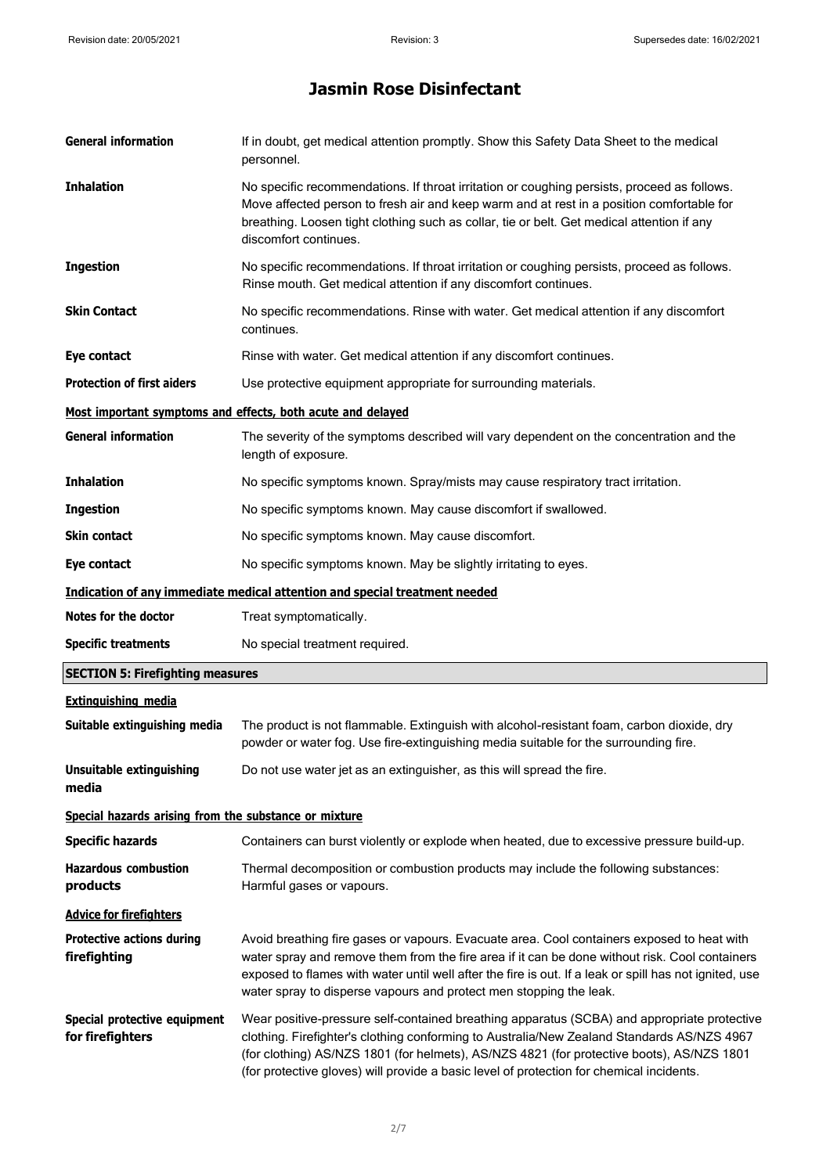# **Jasmin Rose Disinfectant**

| <b>General information</b>                            | If in doubt, get medical attention promptly. Show this Safety Data Sheet to the medical<br>personnel.                                                                                                                                                                                                                                                                              |
|-------------------------------------------------------|------------------------------------------------------------------------------------------------------------------------------------------------------------------------------------------------------------------------------------------------------------------------------------------------------------------------------------------------------------------------------------|
| <b>Inhalation</b>                                     | No specific recommendations. If throat irritation or coughing persists, proceed as follows.<br>Move affected person to fresh air and keep warm and at rest in a position comfortable for<br>breathing. Loosen tight clothing such as collar, tie or belt. Get medical attention if any<br>discomfort continues.                                                                    |
| <b>Ingestion</b>                                      | No specific recommendations. If throat irritation or coughing persists, proceed as follows.<br>Rinse mouth. Get medical attention if any discomfort continues.                                                                                                                                                                                                                     |
| <b>Skin Contact</b>                                   | No specific recommendations. Rinse with water. Get medical attention if any discomfort<br>continues.                                                                                                                                                                                                                                                                               |
| Eye contact                                           | Rinse with water. Get medical attention if any discomfort continues.                                                                                                                                                                                                                                                                                                               |
| <b>Protection of first aiders</b>                     | Use protective equipment appropriate for surrounding materials.                                                                                                                                                                                                                                                                                                                    |
|                                                       | Most important symptoms and effects, both acute and delayed                                                                                                                                                                                                                                                                                                                        |
| <b>General information</b>                            | The severity of the symptoms described will vary dependent on the concentration and the<br>length of exposure.                                                                                                                                                                                                                                                                     |
| <b>Inhalation</b>                                     | No specific symptoms known. Spray/mists may cause respiratory tract irritation.                                                                                                                                                                                                                                                                                                    |
| <b>Ingestion</b>                                      | No specific symptoms known. May cause discomfort if swallowed.                                                                                                                                                                                                                                                                                                                     |
| Skin contact                                          | No specific symptoms known. May cause discomfort.                                                                                                                                                                                                                                                                                                                                  |
| Eye contact                                           | No specific symptoms known. May be slightly irritating to eyes.                                                                                                                                                                                                                                                                                                                    |
|                                                       | Indication of any immediate medical attention and special treatment needed                                                                                                                                                                                                                                                                                                         |
| Notes for the doctor                                  | Treat symptomatically.                                                                                                                                                                                                                                                                                                                                                             |
| <b>Specific treatments</b>                            | No special treatment required.                                                                                                                                                                                                                                                                                                                                                     |
| <b>SECTION 5: Firefighting measures</b>               |                                                                                                                                                                                                                                                                                                                                                                                    |
| <b>Extinguishing media</b>                            |                                                                                                                                                                                                                                                                                                                                                                                    |
| Suitable extinguishing media                          | The product is not flammable. Extinguish with alcohol-resistant foam, carbon dioxide, dry<br>powder or water fog. Use fire-extinguishing media suitable for the surrounding fire.                                                                                                                                                                                                  |
| <b>Unsuitable extinguishing</b><br>media              | Do not use water jet as an extinguisher, as this will spread the fire.                                                                                                                                                                                                                                                                                                             |
| Special hazards arising from the substance or mixture |                                                                                                                                                                                                                                                                                                                                                                                    |
| <b>Specific hazards</b>                               | Containers can burst violently or explode when heated, due to excessive pressure build-up.                                                                                                                                                                                                                                                                                         |
| <b>Hazardous combustion</b><br>products               | Thermal decomposition or combustion products may include the following substances:<br>Harmful gases or vapours.                                                                                                                                                                                                                                                                    |
| <b>Advice for firefighters</b>                        |                                                                                                                                                                                                                                                                                                                                                                                    |
| <b>Protective actions during</b><br>firefighting      | Avoid breathing fire gases or vapours. Evacuate area. Cool containers exposed to heat with<br>water spray and remove them from the fire area if it can be done without risk. Cool containers<br>exposed to flames with water until well after the fire is out. If a leak or spill has not ignited, use<br>water spray to disperse vapours and protect men stopping the leak.       |
| Special protective equipment<br>for firefighters      | Wear positive-pressure self-contained breathing apparatus (SCBA) and appropriate protective<br>clothing. Firefighter's clothing conforming to Australia/New Zealand Standards AS/NZS 4967<br>(for clothing) AS/NZS 1801 (for helmets), AS/NZS 4821 (for protective boots), AS/NZS 1801<br>(for protective gloves) will provide a basic level of protection for chemical incidents. |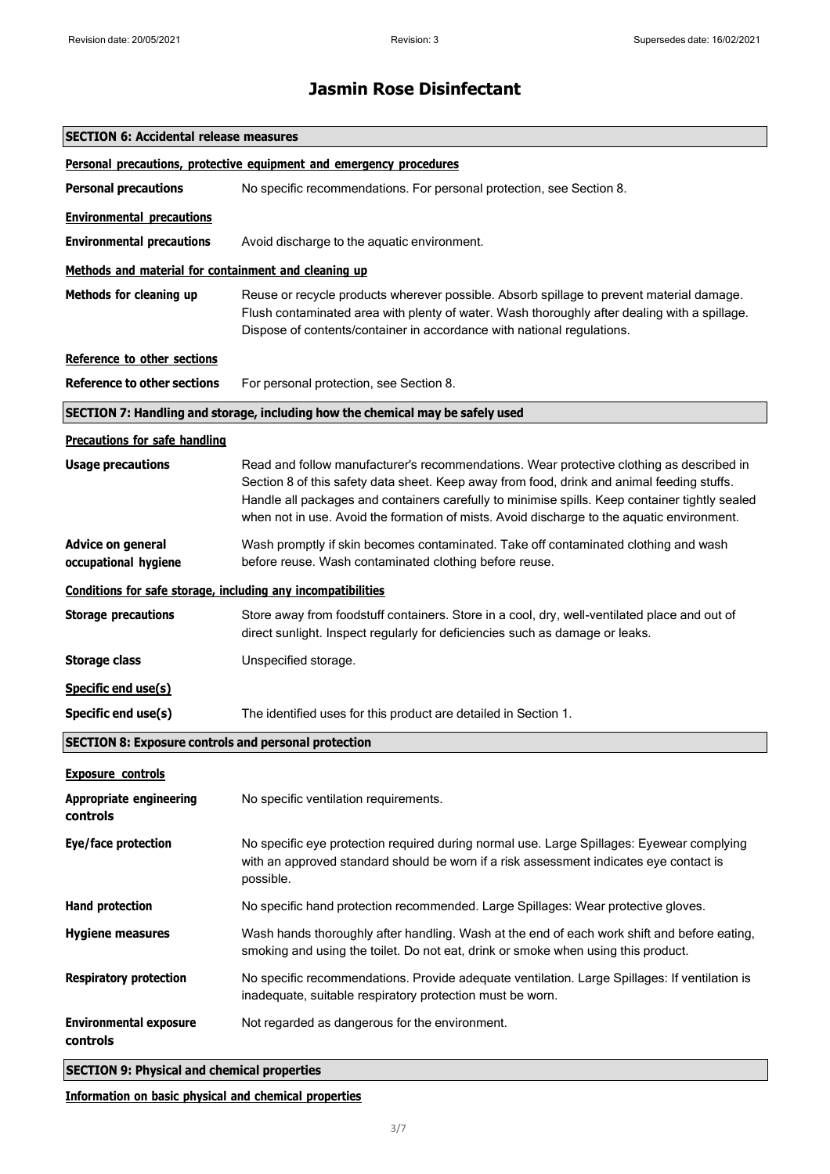| <b>SECTION 6: Accidental release measures</b>                |                                                                                                                                                                                                                                                                                                                                                                                        |  |
|--------------------------------------------------------------|----------------------------------------------------------------------------------------------------------------------------------------------------------------------------------------------------------------------------------------------------------------------------------------------------------------------------------------------------------------------------------------|--|
|                                                              | Personal precautions, protective equipment and emergency procedures                                                                                                                                                                                                                                                                                                                    |  |
| <b>Personal precautions</b>                                  | No specific recommendations. For personal protection, see Section 8.                                                                                                                                                                                                                                                                                                                   |  |
| <b>Environmental precautions</b>                             |                                                                                                                                                                                                                                                                                                                                                                                        |  |
| <b>Environmental precautions</b>                             | Avoid discharge to the aquatic environment.                                                                                                                                                                                                                                                                                                                                            |  |
| Methods and material for containment and cleaning up         |                                                                                                                                                                                                                                                                                                                                                                                        |  |
| Methods for cleaning up                                      | Reuse or recycle products wherever possible. Absorb spillage to prevent material damage.<br>Flush contaminated area with plenty of water. Wash thoroughly after dealing with a spillage.<br>Dispose of contents/container in accordance with national regulations.                                                                                                                     |  |
| Reference to other sections                                  |                                                                                                                                                                                                                                                                                                                                                                                        |  |
| <b>Reference to other sections</b>                           | For personal protection, see Section 8.                                                                                                                                                                                                                                                                                                                                                |  |
|                                                              | SECTION 7: Handling and storage, including how the chemical may be safely used                                                                                                                                                                                                                                                                                                         |  |
| <b>Precautions for safe handling</b>                         |                                                                                                                                                                                                                                                                                                                                                                                        |  |
| <b>Usage precautions</b>                                     | Read and follow manufacturer's recommendations. Wear protective clothing as described in<br>Section 8 of this safety data sheet. Keep away from food, drink and animal feeding stuffs.<br>Handle all packages and containers carefully to minimise spills. Keep container tightly sealed<br>when not in use. Avoid the formation of mists. Avoid discharge to the aquatic environment. |  |
| Advice on general<br>occupational hygiene                    | Wash promptly if skin becomes contaminated. Take off contaminated clothing and wash<br>before reuse. Wash contaminated clothing before reuse.                                                                                                                                                                                                                                          |  |
| Conditions for safe storage, including any incompatibilities |                                                                                                                                                                                                                                                                                                                                                                                        |  |
| <b>Storage precautions</b>                                   | Store away from foodstuff containers. Store in a cool, dry, well-ventilated place and out of<br>direct sunlight. Inspect regularly for deficiencies such as damage or leaks.                                                                                                                                                                                                           |  |
| <b>Storage class</b>                                         | Unspecified storage.                                                                                                                                                                                                                                                                                                                                                                   |  |
| Specific end use(s)                                          |                                                                                                                                                                                                                                                                                                                                                                                        |  |
| Specific end use(s)                                          | The identified uses for this product are detailed in Section 1.                                                                                                                                                                                                                                                                                                                        |  |
| <b>SECTION 8: Exposure controls and personal protection</b>  |                                                                                                                                                                                                                                                                                                                                                                                        |  |
| <b>Exposure controls</b>                                     |                                                                                                                                                                                                                                                                                                                                                                                        |  |
| <b>Appropriate engineering</b><br>controls                   | No specific ventilation requirements.                                                                                                                                                                                                                                                                                                                                                  |  |
| Eye/face protection                                          | No specific eye protection required during normal use. Large Spillages: Eyewear complying<br>with an approved standard should be worn if a risk assessment indicates eye contact is<br>possible.                                                                                                                                                                                       |  |
| <b>Hand protection</b>                                       | No specific hand protection recommended. Large Spillages: Wear protective gloves.                                                                                                                                                                                                                                                                                                      |  |
| <b>Hygiene measures</b>                                      | Wash hands thoroughly after handling. Wash at the end of each work shift and before eating,<br>smoking and using the toilet. Do not eat, drink or smoke when using this product.                                                                                                                                                                                                       |  |
| <b>Respiratory protection</b>                                | No specific recommendations. Provide adequate ventilation. Large Spillages: If ventilation is<br>inadequate, suitable respiratory protection must be worn.                                                                                                                                                                                                                             |  |
| <b>Environmental exposure</b><br>controls                    | Not regarded as dangerous for the environment.                                                                                                                                                                                                                                                                                                                                         |  |
| <b>SECTION 9: Physical and chemical properties</b>           |                                                                                                                                                                                                                                                                                                                                                                                        |  |

**Information on basic physical and chemical properties**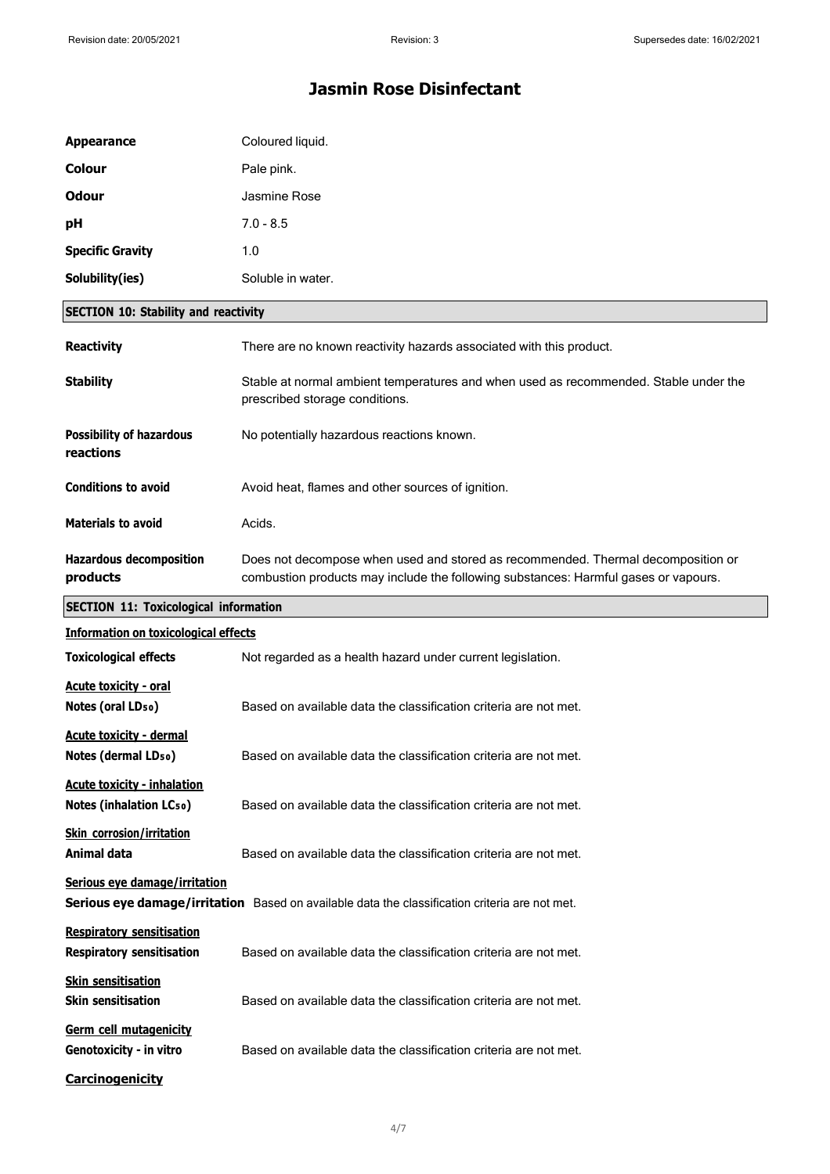| <b>Appearance</b>                                                    | Coloured liquid.                                                                                                                                                        |
|----------------------------------------------------------------------|-------------------------------------------------------------------------------------------------------------------------------------------------------------------------|
| <b>Colour</b>                                                        | Pale pink.                                                                                                                                                              |
| <b>Odour</b>                                                         | Jasmine Rose                                                                                                                                                            |
| pH                                                                   | $7.0 - 8.5$                                                                                                                                                             |
| <b>Specific Gravity</b>                                              | 1.0                                                                                                                                                                     |
| Solubility(ies)                                                      | Soluble in water.                                                                                                                                                       |
| <b>SECTION 10: Stability and reactivity</b>                          |                                                                                                                                                                         |
| <b>Reactivity</b>                                                    | There are no known reactivity hazards associated with this product.                                                                                                     |
| <b>Stability</b>                                                     | Stable at normal ambient temperatures and when used as recommended. Stable under the<br>prescribed storage conditions.                                                  |
| <b>Possibility of hazardous</b><br>reactions                         | No potentially hazardous reactions known.                                                                                                                               |
| <b>Conditions to avoid</b>                                           | Avoid heat, flames and other sources of ignition.                                                                                                                       |
| <b>Materials to avoid</b>                                            | Acids.                                                                                                                                                                  |
| <b>Hazardous decomposition</b><br>products                           | Does not decompose when used and stored as recommended. Thermal decomposition or<br>combustion products may include the following substances: Harmful gases or vapours. |
| <b>SECTION 11: Toxicological information</b>                         |                                                                                                                                                                         |
| <b>Information on toxicological effects</b>                          |                                                                                                                                                                         |
| <b>Toxicological effects</b>                                         | Not regarded as a health hazard under current legislation.                                                                                                              |
| <b>Acute toxicity - oral</b><br>Notes (oral LD <sub>50</sub> )       | Based on available data the classification criteria are not met.                                                                                                        |
| <b>Acute toxicity - dermal</b><br>Notes (dermal LD <sub>50</sub> )   | Based on available data the classification criteria are not met.                                                                                                        |
| <b>Acute toxicity - inhalation</b><br><b>Notes (inhalation LCso)</b> | Based on available data the classification criteria are not met.                                                                                                        |
| <b>Skin corrosion/irritation</b><br>Animal data                      | Based on available data the classification criteria are not met.                                                                                                        |
| Serious eye damage/irritation                                        | Serious eye damage/irritation Based on available data the classification criteria are not met.                                                                          |
| <b>Respiratory sensitisation</b><br><b>Respiratory sensitisation</b> | Based on available data the classification criteria are not met.                                                                                                        |
|                                                                      |                                                                                                                                                                         |
| <b>Skin sensitisation</b><br><b>Skin sensitisation</b>               | Based on available data the classification criteria are not met.                                                                                                        |
| Germ cell mutagenicity<br>Genotoxicity - in vitro                    | Based on available data the classification criteria are not met.                                                                                                        |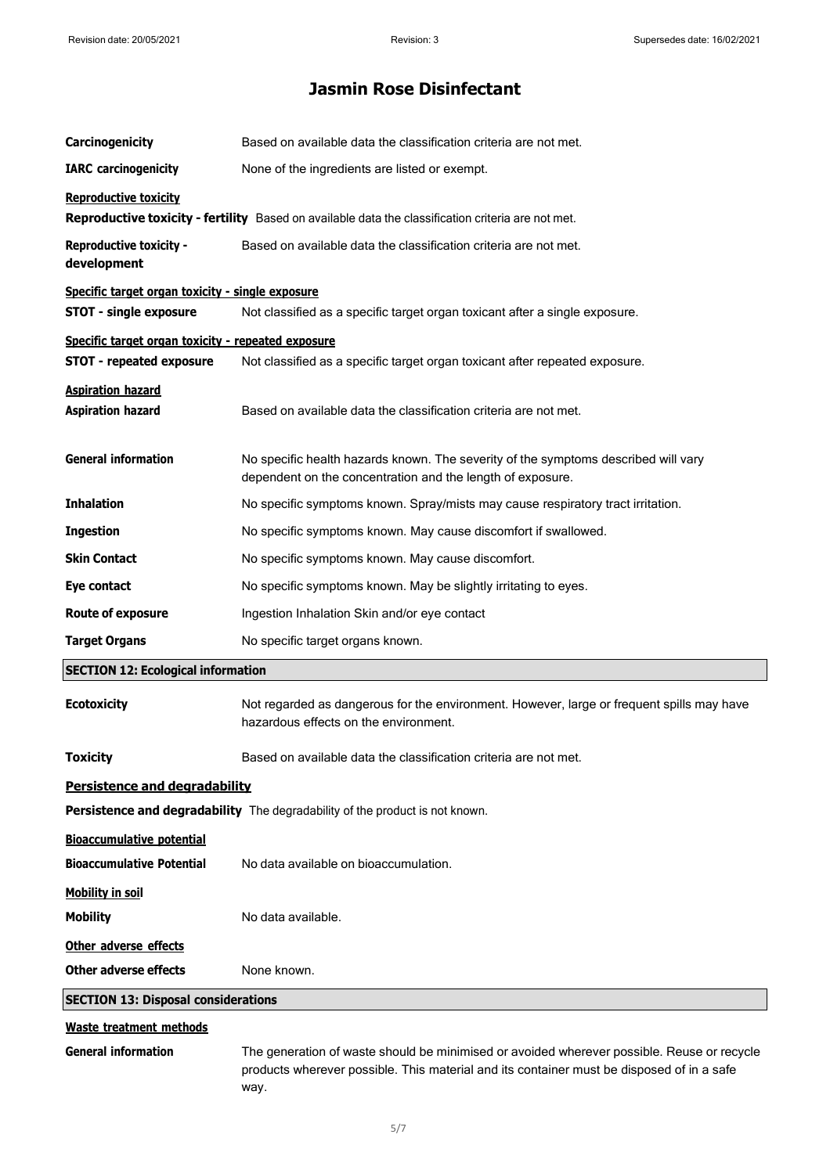| Carcinogenicity                                      | Based on available data the classification criteria are not met.                                                                                 |  |
|------------------------------------------------------|--------------------------------------------------------------------------------------------------------------------------------------------------|--|
| <b>IARC</b> carcinogenicity                          | None of the ingredients are listed or exempt.                                                                                                    |  |
| <b>Reproductive toxicity</b>                         |                                                                                                                                                  |  |
|                                                      | Reproductive toxicity - fertility Based on available data the classification criteria are not met.                                               |  |
| <b>Reproductive toxicity -</b><br>development        | Based on available data the classification criteria are not met.                                                                                 |  |
| Specific target organ toxicity - single exposure     |                                                                                                                                                  |  |
| <b>STOT - single exposure</b>                        | Not classified as a specific target organ toxicant after a single exposure.                                                                      |  |
| Specific target organ toxicity - repeated exposure   |                                                                                                                                                  |  |
| <b>STOT - repeated exposure</b>                      | Not classified as a specific target organ toxicant after repeated exposure.                                                                      |  |
| <b>Aspiration hazard</b><br><b>Aspiration hazard</b> | Based on available data the classification criteria are not met.                                                                                 |  |
| <b>General information</b>                           | No specific health hazards known. The severity of the symptoms described will vary<br>dependent on the concentration and the length of exposure. |  |
| <b>Inhalation</b>                                    | No specific symptoms known. Spray/mists may cause respiratory tract irritation.                                                                  |  |
| <b>Ingestion</b>                                     | No specific symptoms known. May cause discomfort if swallowed.                                                                                   |  |
| <b>Skin Contact</b>                                  | No specific symptoms known. May cause discomfort.                                                                                                |  |
| Eye contact                                          | No specific symptoms known. May be slightly irritating to eyes.                                                                                  |  |
| <b>Route of exposure</b>                             | Ingestion Inhalation Skin and/or eye contact                                                                                                     |  |
| <b>Target Organs</b>                                 | No specific target organs known.                                                                                                                 |  |
| <b>SECTION 12: Ecological information</b>            |                                                                                                                                                  |  |
| <b>Ecotoxicity</b>                                   | Not regarded as dangerous for the environment. However, large or frequent spills may have<br>hazardous effects on the environment.               |  |
| <b>Toxicity</b>                                      | Based on available data the classification criteria are not met.                                                                                 |  |
| <b>Persistence and degradability</b>                 |                                                                                                                                                  |  |
|                                                      | Persistence and degradability The degradability of the product is not known.                                                                     |  |
| <b>Bioaccumulative potential</b>                     |                                                                                                                                                  |  |
| <b>Bioaccumulative Potential</b>                     | No data available on bioaccumulation.                                                                                                            |  |
| Mobility in soil                                     |                                                                                                                                                  |  |
| <b>Mobility</b>                                      | No data available.                                                                                                                               |  |
| Other adverse effects                                |                                                                                                                                                  |  |
| Other adverse effects                                | None known.                                                                                                                                      |  |
| <b>SECTION 13: Disposal considerations</b>           |                                                                                                                                                  |  |
| <b>Waste treatment methods</b>                       |                                                                                                                                                  |  |
| Conoral information                                  | The generation of waste should be minimised or avoided wherever pessible. Peuse or requeler                                                      |  |

**General information** The generation of waste should be minimised or avoided wherever possible. Reuse or recycle products wherever possible. This material and its container must be disposed of in a safe way.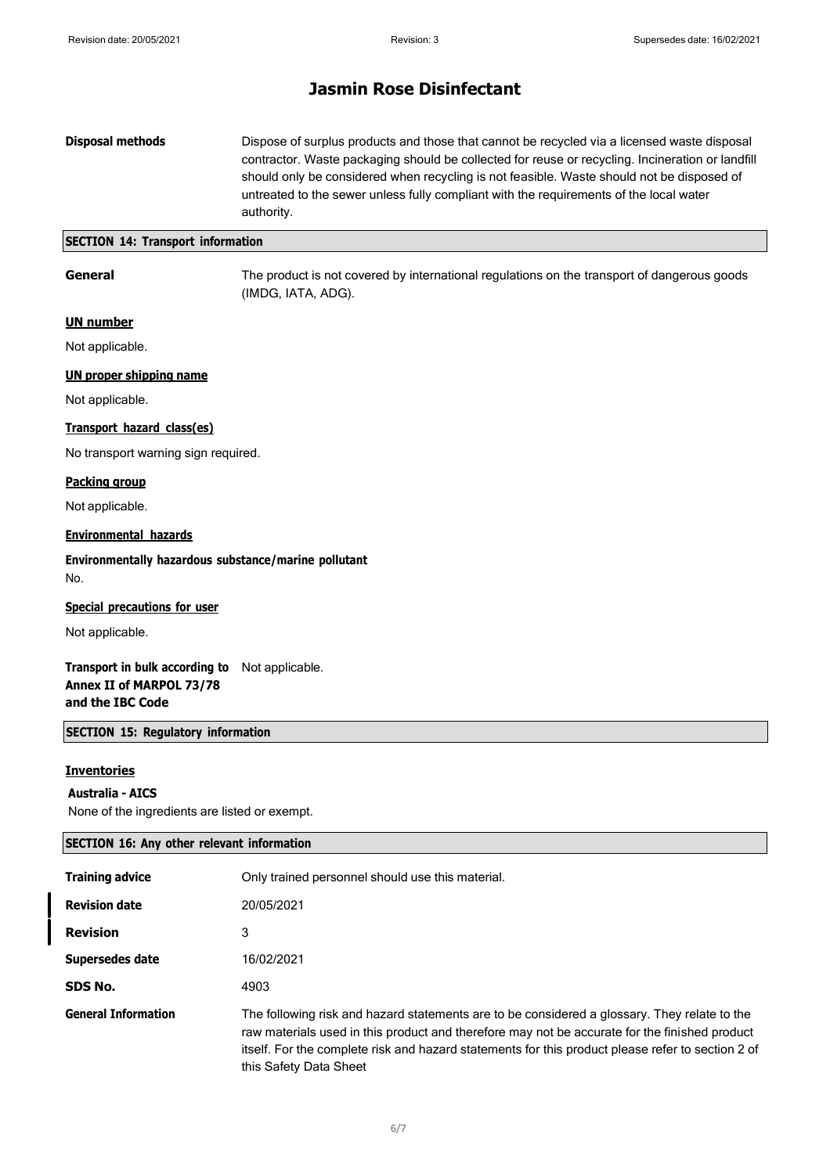**Disposal methods** Dispose of surplus products and those that cannot be recycled via a licensed waste disposal contractor. Waste packaging should be collected for reuse or recycling. Incineration or landfill should only be considered when recycling is not feasible. Waste should not be disposed of untreated to the sewer unless fully compliant with the requirements of the local water authority.

#### **SECTION 14: Transport information**

**General** The product is not covered by international regulations on the transport of dangerous goods (IMDG, IATA, ADG).

#### **UN number**

Not applicable.

#### **UN proper shipping name**

Not applicable.

#### **Transport hazard class(es)**

No transport warning sign required.

#### **Packing group**

Not applicable.

#### **Environmental hazards**

**Environmentally hazardous substance/marine pollutant** No.

#### **Special precautions for user**

Not applicable.

#### **Transport in bulk according to** Not applicable. **Annex II of MARPOL 73/78 and the IBC Code**

#### **SECTION 15: Regulatory information**

### **Inventories**

#### **Australia - AICS**

None of the ingredients are listed or exempt.

| <b>SECTION 16: Any other relevant information</b> |                                                                                                                                                                                                                                                                                                                              |  |
|---------------------------------------------------|------------------------------------------------------------------------------------------------------------------------------------------------------------------------------------------------------------------------------------------------------------------------------------------------------------------------------|--|
| <b>Training advice</b>                            | Only trained personnel should use this material.                                                                                                                                                                                                                                                                             |  |
| <b>Revision date</b>                              | 20/05/2021                                                                                                                                                                                                                                                                                                                   |  |
| <b>Revision</b>                                   | 3                                                                                                                                                                                                                                                                                                                            |  |
| Supersedes date                                   | 16/02/2021                                                                                                                                                                                                                                                                                                                   |  |
| SDS No.                                           | 4903                                                                                                                                                                                                                                                                                                                         |  |
| <b>General Information</b>                        | The following risk and hazard statements are to be considered a glossary. They relate to the<br>raw materials used in this product and therefore may not be accurate for the finished product<br>itself. For the complete risk and hazard statements for this product please refer to section 2 of<br>this Safety Data Sheet |  |